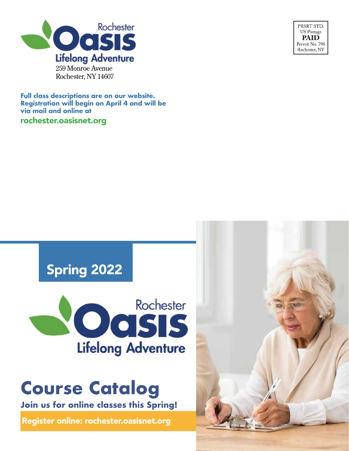

**Full class descriptions are on our website. Registration will begin on April 4 and will be via mail and online at** rochester.oasisnet.org



# Spring 2022



# **Course Catalog**

**Join us for online classes this Spring!**

Register online: rochester.oasisnet.org

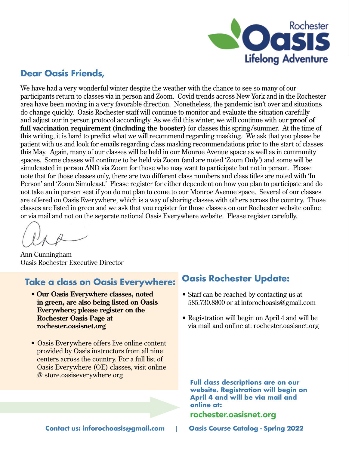

## **Dear Oasis Friends,**

We have had a very wonderful winter despite the weather with the chance to see so many of our participants return to classes via in person and Zoom. Covid trends across New York and in the Rochester area have been moving in a very favorable direction. Nonetheless, the pandemic isn't over and situations do change quickly. Oasis Rochester staff will continue to monitor and evaluate the situation carefully and adjust our in person protocol accordingly. As we did this winter, we will continue with our **proof of full vaccination requirement (including the booster)** for classes this spring/summer. At the time of this writing, it is hard to predict what we will recommend regarding masking. We ask that you please be patient with us and look for emails regarding class masking recommendations prior to the start of classes this May. Again, many of our classes will be held in our Monroe Avenue space as well as in community spaces. Some classes will continue to be held via Zoom (and are noted 'Zoom Only') and some will be simulcasted in person AND via Zoom for those who may want to participate but not in person. Please note that for those classes only, there are two different class numbers and class titles are noted with 'In Person' and 'Zoom Simulcast.' Please register for either dependent on how you plan to participate and do not take an in person seat if you do not plan to come to our Monroe Avenue space. Several of our classes are offered on Oasis Everywhere, which is a way of sharing classes with others across the country. Those classes are listed in green and we ask that you register for those classes on our Rochester website online or via mail and not on the separate national Oasis Everywhere website. Please register carefully.

Ann Cunningham Oasis Rochester Executive Director

## **Take a class on Oasis Everywhere:**

- **Our Oasis Everywhere classes, noted in green, are also being listed on Oasis Everywhere; please register on the Rochester Oasis Page at rochester.oasisnet.org**
- Oasis Everywhere offers live online content provided by Oasis instructors from all nine centers across the country. For a full list of Oasis Everywhere (OE) classes, visit online @ store.oasiseverywhere.org

## **Oasis Rochester Update:**

- Staff can be reached by contacting us at 585.730.8800 or at inforochoasis@gmail.com
- Registration will begin on April 4 and will be via mail and online at: rochester.oasisnet.org

**Full class descriptions are on our website. Registration will begin on April 4 and will be via mail and online at:**

### rochester.oasisnet.org

**Contact us: inforochoasis@gmail.com** | **Oasis Course Catalog - Spring 2022**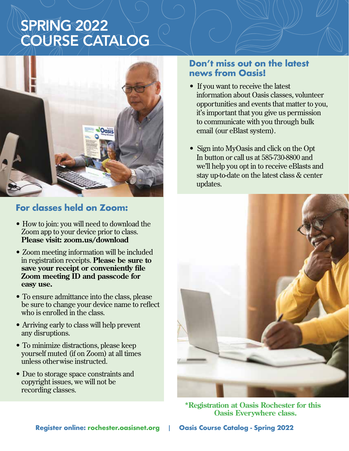# SPRING 2022 COURSE CATALOG



## **For classes held on Zoom:**

- How to join: you will need to download the Zoom app to your device prior to class. **Please visit: zoom.us/download**
- Zoom meeting information will be included in registration receipts. **Please be sure to save your receipt or conveniently file Zoom meeting ID and passcode for easy use.**
- To ensure admittance into the class, please be sure to change your device name to reflect who is enrolled in the class.
- Arriving early to class will help prevent any disruptions.
- To minimize distractions, please keep yourself muted (if on Zoom) at all times unless otherwise instructed.
- Due to storage space constraints and copyright issues, we will not be recording classes.

## **Don't miss out on the latest news from Oasis!**

- If you want to receive the latest information about Oasis classes, volunteer opportunities and events that matter to you, it's important that you give us permission to communicate with you through bulk email (our eBlast system).
- Sign into MyOasis and click on the Opt In button or call us at 585-730-8800 and we'll help you opt in to receive eBlasts and stay up-to-date on the latest class & center updates.



**\*Registration at Oasis Rochester for this Oasis Everywhere class.**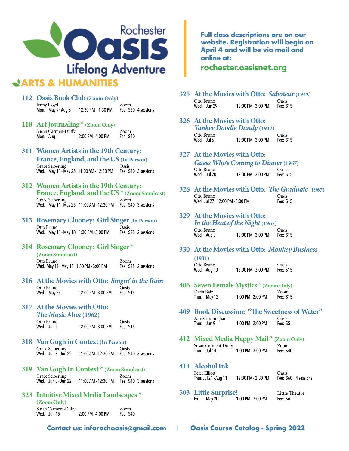

## **ARTS & HUMANITIES**

- **112 Oasis Book Club (Zoom Only)** Jenny Lloyd<br>Mon. May 9 - Aug 8 12:30 PM 1:30 PM Fee: \$20 4 sessions Mon. May 9 - Aug 8
- **118 Art Journaling \* (Zoom Only)** Susan Carmen-Duffy 7 and 500 m<br>Mon. Aug 1 2:00 PM - 4:00 PM Fee: \$40 2:00 PM - 4:00 PM
- **311 Women Artists in the 19th Century: France, England, and the US (In Person)** Grace Seiberling<br>Wed. May 11 - May 25 11:00 AM - 12:30 PM Fee: \$40 3 sessions Wed. May 11 - May 25 11:00 AM - 12:30 PM
- **312 Women Artists in the 19th Century: France, England, and the US \* (Zoom Simulcast)** Grace Seiberling Zoom Wed. May 11 - May 25 11:00 AM - 12:30 PM Fee: \$40 3 sessions
- **313 Rosemary Clooney: Girl Singer (In Person)** Otto Bruno Oasis Wed. May 11 - May 18 1:30 PM - 3:00 PM Fee: \$25 2 sessions
- **314 Rosemary Clooney: Girl Singer \***

**(Zoom Simulcast)** Otto Bruno<br>Wed. May 11 - May 18 1:30 PM - 3:00 PM Fee: \$25 2 sessions Wed. May 11 - May 18 1:30 PM - 3:00 PM

**316 At the Movies with Otto:** *Singin' in the Rain* Otto Bruno<br>
Wed. May 25 12:00 PM - 3:00 PM Fee: \$15 12:00 PM - 3:00 PM

#### **317 At the Movies with Otto:**

*The Music Man* **(1962)**

| Otto Bruno |                    | Oasis     |
|------------|--------------------|-----------|
| Wed. Jun 1 | 12:00 PM - 3:00 PM | Fee: \$15 |
|            |                    |           |

**318 Van Gogh in Context (In Person)**

Grace Seiberling Casis<br>Wed. Jun 8 - Jun 22 11:00 AM - 12:30 PM Fee: \$40 3 sessions 11:00 AM - 12:30 PM

- **319 Van Gogh In Context \* (Zoom Simulcast)** Grace Seiberling<br>Wed. Jun 8 - Jun 22 11:00 AM - 12:30 PM Fee: \$40 3 sessions
- **323 Intuitive Mixed Media Landscapes \***

**(Zoom Only)** Susan Carment-Duffy [1994]<br>Wed. Jun 15 [2:00 PM - 4:00 PM | Fee: \$40 2:00 PM - 4:00 PM

**Contact us: inforochoasis@gmail.com** | **Oasis Course Catalog - Spring 2022**

**Full class descriptions are on our website. Registration will begin on April 4 and will be via mail and online at:**

#### rochester.oasisnet.org

- **325 At the Movies with Otto:** *Saboteur***(1942)** Otto Bruno Casis<br>
Wed. Jun 29 12:00 PM - 3:00 PM Fee: \$15 12:00 PM - 3:00 PM
- **326 At the Movies with Otto:** *Yankee Doodle Dandy* **(1942)** Otto Bruno Oasis  $12:00$  PM -  $3:00$  PM
- **327 At the Movies with Otto:**  *Guess Who's Coming to Dinner***(1967)** Otto Bruno Oasis 12:00 PM - 3:00 PM
- **328 At the Movies with Otto:** *The Graduate* **(1967)** Otto Bruno Oasis Wed. Jul 27 12:00 PM - 3:00 PM Fee: \$15
- **329 At the Movies with Otto:** *In the Heat of the Night* **(1967)** Otto Bruno Casis<br>
Wed. Aug 3 12:00 PM - 3:00 PM Fee: \$15 12:00 PM - 3:00 PM
- **330 At the Movies with Otto:** *Monkey Business*  **(1931)**

| Otto Bruno  |                    | Oasis     |
|-------------|--------------------|-----------|
| Wed. Aug 10 | 12:00 PM - 3:00 PM | Fee: \$15 |

- **406 Seven Female Mystics \* (Zoom Only)** Darla Bair 7<br>
Thur. May 12 1:00 PM - 2:00 PM Fee: \$15 1:00 PM - 2:00 PM
- **409 Book Discussion: "The Sweetness of Water"** Ann Cunningham Casis<br>Thur. Jun 9 1:00 PM - 2:00 PM Fee: \$5 1:00 PM - 2:00 PM
- **412 Mixed Media Happy Mail \* (Zoom Only)** Susan Carment-Duffy **Com**<br>Thur. Jul 14 1:00 PM - 3:00 PM Fee: \$40  $1:00$  PM -  $3:00$  PM
- **414 Alcohol Ink** Peter Elliott<br>Thur. Jul 21 - Aug 11 12:30 PM - 2:30 PM Fee: \$60 4 sessions Thur. Jul 21 - Aug 11

**503 Little Surprise!** Little Theatre  $1:00$  PM -  $3:00$  PM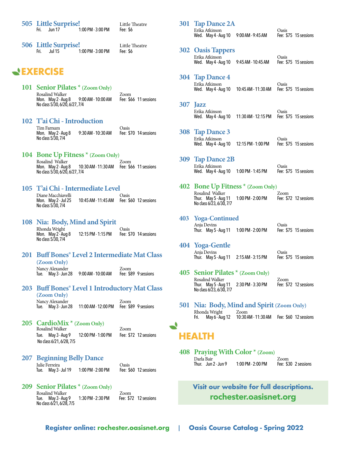|  | 505 Little Surprise! | Little Theatre    |          |
|--|----------------------|-------------------|----------|
|  | Fri. Jun 17          | 1:00 PM - 3:00 PM | Fee: \$6 |

**506 Little Surprise!** Little Theatre 1:00 PM - 3:00 PM

## **EXERCISE**

**101 Senior Pilates \* (Zoom Only)** Rosalind Walker **Com**<br>Mon. May 2 - Aug 8 9:00 AM - 10:00 AM Fee: \$66 11 sessions Mon. May 2 - Aug 8 No class 5/30, 6/20, 6/27, 7/4

#### **102 T'ai Chi - Introduction**

Tim Farnum<br>Mon. May 2 - Aug 8 9:30 AM - 10:30 AM Fee: \$70 14 sessions Mon. May 2 - Aug 8 No class 5/30, 7/4

#### **104 Bone Up Fitness \* (Zoom Only)**

Rosalind Walker<br>Mon. May 2 - Aug 8 10:30 AM - 11:30 AM Fee: \$ 10:30 AM - 11:30 AM Fee: \$66 11 sessions No class 5/30, 6/20, 6/27, 7/4

#### **105 T'ai Chi - Intermediate Level**

Diane Macchiavelli<br>
Mon. May 2 - Jul 25 10:45 AM - 11:45 AM Fee: 9 10:45 AM - 11:45 AM Fee: \$60 12 sessions No class 5/30, 7/4

**108 Nia: Body, Mind and Spirit** Rhonda Wright<br>Mon. May 2 - Aug 8 12:15 PM - 1:15 PM Fee: \$70 14 sessions Mon. May 2 - Aug 8 No class 5/30, 7/4

- **201 Buff Bones® Level 2 Intermediate Mat Class (Zoom Only)** Nancy Alexander 2001 Exercise 2008<br>Tue. May 3 - Jun 28 9:00 AM - 10:00 AM Fee: \$89 9 sessions Tue.  $^{'}$  May 3 - Jun 28
- **203 Buff Bones® Level 1 Introductory Mat Class (Zoom Only)** Nancy Alexander Zoom 11:00 AM - 12:00 PM
- **205 CardioMix \* (Zoom Only)** Rosalind Walker Zoom Tue. May 3 - Aug 9 12:00 PM - 1:00 PM Fee: \$72 12 sessions

**207 Beginning Belly Dance** Julie Ferreira Oasis

No class 6/21, 6/28, 7/5

**209 Senior Pilates \* (Zoom Only)** Rosalind Walker<br>Tue. May 3 - Aug 9 1:30 PM - 2:30 PM Fee: \$72 12 sessions Tue. May 3 - Aug 9 No class 6/21, 6/28, 7/5

Fee: \$60 12 sessions

## Erika Atkinson<br>Wed. May 4 - Aug 10 9:00 AM - 9:45 AM Fee: \$75 15 sessions Wed. May 4 - Aug 10 9:00 AM - 9:45 AM **302 Oasis Tappers** Erika Atkinson Oasis Wed. May 4 - Aug 10 9:45 AM - 10:45 AM **304 Tap Dance 4** Erika Atkinson Oasis Wed. May 4 - Aug 10 **307 Jazz** Erika Atkinson Oasis Wed. May 4 - Aug 10 11:30 AM - 12:15 PM

**301 Tap Dance 2A**

**308 Tap Dance 3** Erika Atkinson<br>Wed. May 4 - Aug 10 12:15 PM - 1:00 PM Fee: \$75 15 sessions Wed. May 4 - Aug 10

**309 Tap Dance 2B** Erika Atkinson Oasis Wed. May 4 - Aug 10 1:00 PM - 1:45 PM

#### **402 Bone Up Fitness \* (Zoom Only)** Rosalind Walker Zoom Thur. May 5 - Aug 11 1:00 PM - 2:00 PM No class 6/23, 6/30, 7/7

#### **403 Yoga-Continued** Anja Devins<br>Thur. May 5 - Aug 11 1:00 PM - 2:00 PM Fee: \$75 15 sessions Thur. May 5 - Aug 11 1:00 PM - 2:00 PM

#### **404 Yoga-Gentle**

Anja Devins Oasis Thur. May 5 - Aug 11 2:15 AM - 3:15 PM

- **405 Senior Pilates \* (Zoom Only)** Rosalind Walker Zoom Thur. May 5 - Aug 11 2:30 PM - 3:30 PM No class 6/23, 6/30, 7/7
- **501 Nia: Body, Mind and Spirit (Zoom Only)** Rhonda Wright Zoom<br>Fri. May 6 - Aug 12 10:30/ 10:30 AM - 11:30 AM Fee: \$60 12 sessions

## **HEALTH**

**408 Praying With Color \* (Zoom)** Darla Bair Zoom Fee: \$30 2 sessions

## **Visit our website for full descriptions.** rochester.oasisnet.org

**Register online: rochester.oasisnet.org** | **Oasis Course Catalog - Spring 2022**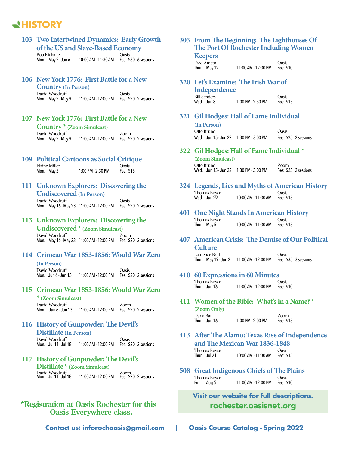## **HISTORY**

|                                                                         | of the US and Slave-Based Economy                               | 103 Two Intertwined Dynamics: Early Growth | <b>305</b> |
|-------------------------------------------------------------------------|-----------------------------------------------------------------|--------------------------------------------|------------|
| <b>Bob Richane</b>                                                      | Mon. May 2 - Jun 6 10:00 AM - 11:30 AM                          | Oasis<br>Fee: \$60 6 sessions              |            |
| 106 New York 1776: First Battle for a New<br><b>Country (In Person)</b> |                                                                 |                                            | 320        |
| David Woodruff                                                          | Mon. May 2 - May 9 11:00 AM - 12:00 PM Fee: \$20 2 sessions     | <b>Oasis</b>                               |            |
| 107 New York 1776: First Battle for a New                               |                                                                 |                                            | 321        |
| <b>Country</b> $*$ (Zoom Simulcast)                                     |                                                                 |                                            |            |
| David Woodruff                                                          | Mon. May 2 - May 9 11:00 AM - 12:00 PM Fee: \$20 2 sessions     | Zoom                                       |            |
| <b>109 Political Cartoons as Social Critique</b>                        |                                                                 |                                            | 322        |
| Elaine Miller                                                           |                                                                 | Oasis                                      |            |
| Mon. May 2                                                              | 1:00 PM - 2:30 PM                                               | Fee: \$15                                  |            |
| 111 Unknown Explorers: Discovering the                                  |                                                                 |                                            | 324        |
| <b>Undiscovered</b> (In Person)                                         |                                                                 |                                            |            |
| David Woodruff                                                          | Mon. May 16 - May 23 11:00 AM - 12:00 PM Fee: \$20 2 sessions   | Oasis                                      | 401        |
| 113 Unknown Explorers: Discovering the                                  |                                                                 |                                            |            |
|                                                                         | <b>Undiscovered</b> $*(\text{Zoom Simulcast})$                  |                                            |            |
| David Woodruff                                                          | Mon. May 16 - May 23 11:00 AM - 12:00 PM Fee: \$20 2 sessions   | Zoom                                       | 407        |
|                                                                         |                                                                 | 114 Crimean War 1853-1856: Would War Zero  |            |
| (In Person)                                                             |                                                                 |                                            |            |
| David Woodruff                                                          | Mon. Jun 6 - Jun 13  11:00 AM - 12:00 PM  Fee: \$20  2 sessions | Oasis                                      | 410        |
|                                                                         |                                                                 | 115 Crimean War 1853-1856: Would War Zero  |            |
| * (Zoom Simulcast)<br>David Woodruff                                    |                                                                 | Zoom                                       | 411        |
|                                                                         | Mon. Jun 6 - Jun 13 11:00 AM - 12:00 PM                         | Fee: \$20 2 sessions                       |            |
| 116 History of Gunpowder: The Devil's                                   |                                                                 |                                            |            |
| Distillate (In Person)                                                  |                                                                 |                                            | 413        |
| David Woodruff<br>Mon. Jul 11 - Jul 18                                  | 11:00 AM - 12:00 PM                                             | Oasis<br>Fee: \$20 2 sessions              |            |
| 117 History of Gunpowder: The Devil's                                   |                                                                 |                                            |            |
| Distillate * (Zoom Simulcast)                                           |                                                                 |                                            | 508        |
| David Woodruff<br>Mon. Jul 11 - Jul 18                                  | 11:00 AM - 12:00 PM                                             | Zoom<br>Fee: \$20 2 sessions               |            |

# **\*Registration at Oasis Rochester for this** rochester.oasisnet.org **Oasis Everywhere class.**

#### **305 From The Beginning: The Lighthouses Of The Port Of Rochester Including Women conomo**

| reepers      |                     |              |
|--------------|---------------------|--------------|
| Fred Amato   |                     | <b>Oasis</b> |
| Thur. May 12 | 11:00 AM - 12:30 PM | Fee: \$10    |

**320 Let's Examine: The Irish War of Independence**

| <b>Bill Sanders</b> |                       | Oasis     |
|---------------------|-----------------------|-----------|
| Wed. Jun 8          | $1:00$ PM - $2:30$ PM | Fee: \$15 |

#### **321 Gil Hodges: Hall of Fame Individual**

**(In Person)** Otto Bruno Oasis Wed. Jun 15 - Jun 22 1:30 PM - 3:00 PM

#### **322 Gil Hodges: Hall of Fame Individual \***

**(Zoom Simulcast)** Otto Bruno Zoom Wed. Jun 15 - Jun 22 1:30 PM - 3:00 PM Fee: \$25 2 sessions

- **4 Legends, Lies and Myths of American History**<br>Thomas Bovce Thomas Boyce<br>Wed. Jun 29
	- 10:00 AM 11:30 AM Fee: \$15

#### **41 One Night Stands In American History**<br>Thomas Bovce Oasis Thomas Boyce<br>Thur. May 5 10:00 AM - 11:30 AM Fee: \$15

**407 American Crisis: The Demise of Our Political Culture**

Laurence Britt Oasis Thur. May 19 - Jun 2 11:00 AM - 12:00 PM Fee: \$35 3 sessions

#### **410 60 Expressions in 60 Minutes**

Thomas Boyce<br>Thur. Jun 16 11:00 AM - 12:00 PM Fee: \$ 11:00 AM - 12:00 PM Fee: \$10

**411 Women of the Bible: What's in a Name? \***

**(Zoom Only)** Darla Bair Thur. Jun 16

| 1:00 PM - 2:00 PM | Zoom<br>Fee: \$15 |
|-------------------|-------------------|
|                   |                   |

- **413 After The Alamo: Texas Rise of Independence and The Mexican War 1836-1848** Thomas Boyce<br>Thur. Jul 21 10:00 AM - 11:30 AM Fee: \$15
- **508 Great Indigenous Chiefs of The Plains** Thomas Boyce<br>Fri. Aug 5 11:00 AM - 12:00 PM Fee: \$10

**Visit our website for full descriptions.**

**Contact us: inforochoasis@gmail.com** | **Oasis Course Catalog - Spring 2022**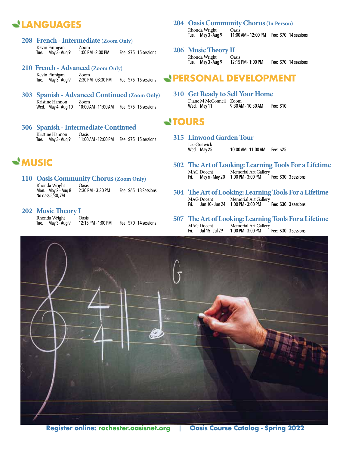## **LANGUAGES**

- **208 French Intermediate (Zoom Only)** Kevin Finnigan Zoom<br>Tue. May 3 - Aug 9 1:00 PM - 2:00 PM Tue. May 3-Aug 9 1:00 PM - 2:00 PM Fee: \$75 15 sessions
- **210 French Advanced (Zoom Only)** Kevin Finnigan Zoom<br>Tue. May 3 - Aug 9 2:30 PM - 03:30 PM Fee: \$75 15 sessions
- **303 Spanish Advanced Continued (Zoom Only)** Kristine Hannon Wed. May 4 - Aug 10 10:00 AM - 11:00 AM Fee: \$75 15 sessions
- **306 Spanish Intermediate Continued** Kristine Hannon<br>Tue. May 3 - Aug 9 11:00 AM - 12:00 PM Fee: \$75 15 sessions

## **MUSIC**

- **110 Oasis Community Chorus** (Zoom Only)<br>Rhonda Wright Oasis Rhonda Wright Oasis<br>Mon. May 2 - Aug 8 2:30 PM - 3:30 PM Mon. May 2 – Aug 8 2:30 PM – 3:30 PM Fee: \$65 13 Sessions No class 5/30, 7/4
- **202 Music Theory I**

Rhonda Wright Casis<br>Tue. May 3 - Aug 9 12:15 PM - 1:00 PM Tue. May 3-Aug 9 12:15 PM - 1:00 PM Fee: \$70 14 sessions

#### **204 Oasis Community Chorus (In Person)**

Rhonda Wright Oasis<br>Tue. May 3 - Aug 9 11:00 11:00 AM - 12:00 PM Fee: \$70 14 sessions

#### **206 Music Theory II**

Rhonda Wright Casis<br>Tue. May 3 - Aug 9 12:15 PM - 1:00 PM Tue. May 3 - Aug 9 12:15 PM - 1:00 PM Fee: \$70 14 sessions

## **PERSONAL DEVELOPMENT**

**310 Get Ready to Sell Your Home** Diane M McConnell Zoom<br>Wed. May 11 9:30 AM 9:30 AM - 10:30 AM Fee: \$10

## **TOURS**

- **315 Linwood Garden Tour** Lee Gratwick<br>Wed. May 25 10:00 AM - 11:00 AM Fee: \$25
	- **502 The Art of Looking: Learning Tools For a Lifetime** MAG Docent Memorial Art Gallery Fri. May 6 - May 20 1:00 PM - 3:00 PM Fee: \$30 3 sessions
	- **504 The Art of Looking: Learning Tools For a Lifetime** MAG Docent Memorial Art Gallery Fri. Jun 10 - Jun 24 1:00 PM - 3:00 PM Fee: \$30 3 sessions
- **507 The Art of Looking: Learning Tools For a Lifetime** MAG Docent Memorial Art Gallery<br>Fri. Jul 15 - Jul 29 1:00 PM - 3:00 PM Fri. Jul 15 - Jul 29 1:00 PM - 3:00 PM Fee: \$30 3 sessions

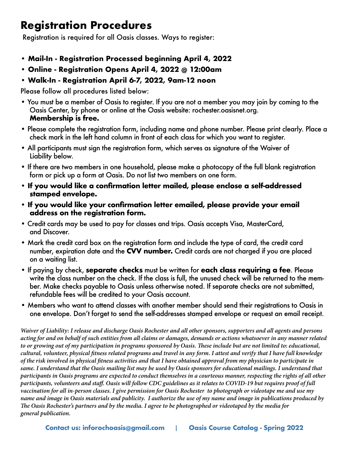## **Registration Procedures**

Registration is required for all Oasis classes. Ways to register:

- **Mail-In Registration Processed beginning April 4, 2022**
- **Online Registration Opens April 4, 2022 @ 12:00am**
- **Walk-In Registration April 6-7, 2022, 9am-12 noon**

Please follow all procedures listed below:

- You must be a member of Oasis to register. If you are not a member you may join by coming to the Oasis Center, by phone or online at the Oasis website: rochester.oasisnet.org. **Membership is free.**
- Please complete the registration form, including name and phone number. Please print clearly. Place a check mark in the left hand column in front of each class for which you want to register.
- All participants must sign the registration form, which serves as signature of the Waiver of Liability below.
- If there are two members in one household, please make a photocopy of the full blank registration form or pick up a form at Oasis. Do not list two members on one form.
- **If you would like a confirmation letter mailed, please enclose a self-addressed stamped envelope.**
- **If you would like your confirmation letter emailed, please provide your email address on the registration form.**
- Credit cards may be used to pay for classes and trips. Oasis accepts Visa, MasterCard, and Discover.
- Mark the credit card box on the registration form and include the type of card, the credit card number, expiration date and the **CVV number.** Credit cards are not charged if you are placed on a waiting list.
- If paying by check, **separate checks** must be written for **each class requiring a fee**. Please write the class number on the check. If the class is full, the unused check will be returned to the member. Make checks payable to Oasis unless otherwise noted. If separate checks are not submitted, refundable fees will be credited to your Oasis account.
- Members who want to attend classes with another member should send their registrations to Oasis in one envelope. Don't forget to send the self-addresses stamped envelope or request an email receipt.

*Waiver of Liability: I release and discharge Oasis Rochester and all other sponsors, supporters and all agents and persons acting for and on behalf of such entities from all claims or damages, demands or actions whatsoever in any manner related to or growing out of my participation in programs sponsored by Oasis. These include but are not limited to: educational, cultural, volunteer, physical fitness related programs and travel in any form. I attest and verify that I have full knowledge of the risk involved in physical fitness activities and that I have obtained approval from my physician to participate in same. I understand that the Oasis mailing list may be used by Oasis sponsors for educational mailings. I understand that participants in Oasis programs are expected to conduct themselves in a courteous manner, respecting the rights of all other participants, volunteers and staff. Oasis will follow CDC guidelines as it relates to COVID-19 but requires proof of full vaccination for all in-person classes. I give permission for Oasis Rochester to photograph or videotape me and use my name and image in Oasis materials and publicity. I authorize the use of my name and image in publications produced by The Oasis Rochester's partners and by the media. I agree to be photographed or videotaped by the media for general publication.*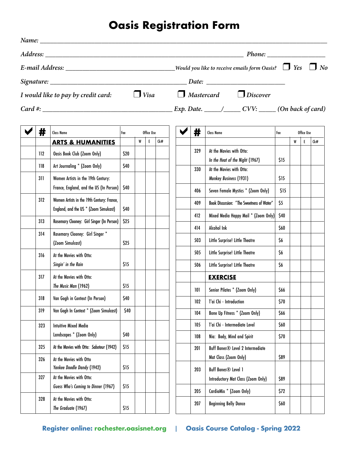## **Oasis Registration Form**

| Name: |     | <u> 1989 - Johann Barn, amerikansk politiker (d. 1989)</u> |      |             |             |     |     |                                                                                                             |      |   |            |     |
|-------|-----|------------------------------------------------------------|------|-------------|-------------|-----|-----|-------------------------------------------------------------------------------------------------------------|------|---|------------|-----|
|       |     |                                                            |      |             |             |     |     |                                                                                                             |      |   |            |     |
|       |     |                                                            |      |             |             |     |     |                                                                                                             |      |   |            |     |
|       |     |                                                            |      |             |             |     |     |                                                                                                             |      |   |            |     |
|       |     | I would like to pay by credit card:                        |      | $\Box$ Visa |             |     |     | $\Box$ Mastercard $\Box$ Discover                                                                           |      |   |            |     |
|       |     |                                                            |      |             |             |     |     | $Card \#$ : $\qquad \qquad \qquad$ Exp. Date. $\qquad \qquad \qquad$ CVV: $\qquad \qquad$ (On back of card) |      |   |            |     |
|       | #   | <b>Class Name</b>                                          | Fee  |             | Office Use  |     | #   | <b>Class Name</b>                                                                                           | Fee  |   | Office Use |     |
|       |     | <b>ARTS &amp; HUMANITIES</b>                               |      | W           | $\mathsf E$ | Ck# |     |                                                                                                             |      | W | E.         | Ck# |
|       | 112 | Oasis Book Club (Zoom Only)                                | \$20 |             |             |     | 329 | At the Movies with Otto:                                                                                    |      |   |            |     |
|       | 118 | Art Journaling * (Zoom Only)                               | \$40 |             |             |     | 330 | In the Heat of the Night (1967)<br>At the Movies with Otto:                                                 | \$15 |   |            |     |
|       | 311 | Women Artists in the 19th Century:                         |      |             |             |     |     | Monkey Business (1931)                                                                                      | \$15 |   |            |     |
|       |     | France, England, and the US (In Person)                    | \$40 |             |             |     | 406 | Seven Female Mystics * (Zoom Only)                                                                          | \$15 |   |            |     |
|       | 312 | Women Artists in the 19th Century: France,                 |      |             |             |     | 409 | <b>Book Discussion: "The Sweetness of Water"</b>                                                            | \$5  |   |            |     |
|       |     | England, and the US * (Zoom Simulcast)                     | \$40 |             |             |     | 412 | Mixed Media Happy Mail * (Zoom Only)                                                                        | \$40 |   |            |     |
|       | 313 | Rosemary Clooney: Girl Singer (In Person)                  | \$25 |             |             |     | 414 | Alcohol Ink                                                                                                 | \$60 |   |            |     |
|       | 314 | Rosemary Clooney: Girl Singer *<br>(Zoom Simulcast)        | \$25 |             |             |     | 503 | Little Surprise! Little Theatre                                                                             | \$6  |   |            |     |
|       | 316 | At the Movies with Otto:                                   |      |             |             |     | 505 | Little Surprise! Little Theatre                                                                             | \$6  |   |            |     |
|       |     | Singin' in the Rain                                        | \$15 |             |             |     | 506 | Little Surprise! Little Theatre                                                                             | \$6  |   |            |     |
|       | 317 | At the Movies with Otto:                                   |      |             |             |     |     | <b>EXERCISE</b>                                                                                             |      |   |            |     |
|       |     | The Music Man (1962)                                       | \$15 |             |             |     | 101 | Senior Pilates * (Zoom Only)                                                                                | \$66 |   |            |     |
|       | 318 | Van Gogh in Context (In Person)                            | \$40 |             |             |     | 102 | T'ai Chi - Introduction                                                                                     | \$70 |   |            |     |
|       | 319 | Van Gogh In Context * (Zoom Simulcast)                     | \$40 |             |             |     | 104 | Bone Up Fitness * (Zoom Only)                                                                               | \$66 |   |            |     |
|       | 323 | <b>Intuitive Mixed Media</b>                               |      |             |             |     | 105 | T'ai Chi - Intermediate Level                                                                               | \$60 |   |            |     |
|       |     | Landscapes * (Zoom Only)                                   | \$40 |             |             |     | 108 | Nia: Body, Mind and Spirit                                                                                  | \$70 |   |            |     |
|       | 325 | At the Movies with Otto: Saboteur (1942)                   | \$15 |             |             |     | 201 | Buff Bones <sup>®</sup> Level 2 Intermediate                                                                |      |   |            |     |
|       | 326 | At the Movies with Otto                                    |      |             |             |     |     | Mat Class (Zoom Only)                                                                                       | \$89 |   |            |     |
|       | 327 | Yankee Doodle Dandy (1942)<br>At the Movies with Otto:     | \$15 |             |             |     | 203 | Buff Bones <sup>®</sup> Level 1                                                                             |      |   |            |     |
|       |     | Guess Who's Coming to Dinner (1967)                        | \$15 |             |             |     |     | Introductory Mat Class (Zoom Only)                                                                          | \$89 |   |            |     |
|       | 328 | At the Movies with Otto:                                   |      |             |             |     | 205 | CardioMix * (Zoom Only)                                                                                     | \$72 |   |            |     |
|       |     | The Graduate (1967)                                        | \$15 |             |             |     | 207 | <b>Beginning Belly Dance</b>                                                                                | \$60 |   |            |     |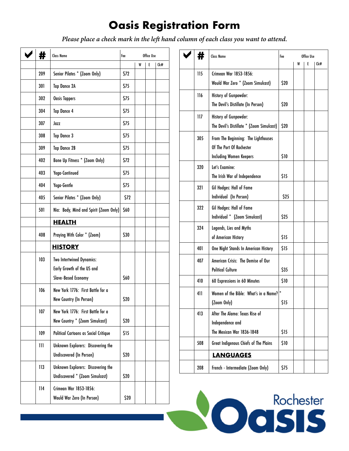# **Oasis Registration Form**

*Please place a check mark in the left hand column of each class you want to attend.*

 $\overline{\phantom{a}}$ 

| #   | <b>Class Name</b>                                                                            | Fee<br>Office Use |   |   |     |  |
|-----|----------------------------------------------------------------------------------------------|-------------------|---|---|-----|--|
|     |                                                                                              |                   | W | E | Ck# |  |
| 209 | Senior Pilates * (Zoom Only)                                                                 | \$72              |   |   |     |  |
| 301 | <b>Tap Dance 2A</b>                                                                          | \$75              |   |   |     |  |
| 302 | <b>Oasis Tappers</b>                                                                         | \$75              |   |   |     |  |
| 304 | <b>Tap Dance 4</b>                                                                           | \$75              |   |   |     |  |
| 307 | Jazz                                                                                         | \$75              |   |   |     |  |
| 308 | Tap Dance 3                                                                                  | \$75              |   |   |     |  |
| 309 | <b>Tap Dance 2B</b>                                                                          | \$75              |   |   |     |  |
| 402 | Bone Up Fitness * (Zoom Only)                                                                | \$72              |   |   |     |  |
| 403 | Yoga-Continued                                                                               | \$75              |   |   |     |  |
| 404 | Yoga-Gentle                                                                                  | \$75              |   |   |     |  |
| 405 | Senior Pilates * (Zoom Only)                                                                 | \$72              |   |   |     |  |
| 501 | Nia: Body, Mind and Spirit (Zoom Only)                                                       | \$60              |   |   |     |  |
|     | <b>HEALTH</b>                                                                                |                   |   |   |     |  |
| 408 | Praying With Color * (Zoom)                                                                  | \$30              |   |   |     |  |
|     | <b>HISTORY</b>                                                                               |                   |   |   |     |  |
| 103 | <b>Two Intertwined Dynamics:</b><br>Early Growth of the US and<br><b>Slave-Based Economy</b> | \$60              |   |   |     |  |
| 106 | New York 1776: First Battle for a<br>New Country (In Person)                                 | \$20              |   |   |     |  |
| 107 | New York 1776: First Battle for a<br>New Country * (Zoom Simulcast)                          | \$20              |   |   |     |  |
| 109 | Political Cartoons as Social Critique                                                        | \$15              |   |   |     |  |
| Ш   | Unknown Explorers: Discovering the<br>Undiscovered (In Person)                               | \$20              |   |   |     |  |
| 113 | Unknown Explorers: Discovering the<br>Undiscovered * (Zoom Simulcast)                        | \$20              |   |   |     |  |
| 114 | Crimean War 1853-1856:<br>Would War Zero (In Person)                                         | \$20              |   |   |     |  |

| #   | <b>Class Name</b>                         | Fee  |   | Office Use |     |
|-----|-------------------------------------------|------|---|------------|-----|
|     |                                           |      | W | E          | Ck# |
| 115 | Crimean War 1853-1856:                    |      |   |            |     |
|     | Would War Zero * (Zoom Simulcast)         | \$20 |   |            |     |
| 116 | History of Gunpowder:                     |      |   |            |     |
|     | The Devil's Distillate (In Person)        | \$20 |   |            |     |
| 117 | History of Gunpowder:                     |      |   |            |     |
|     | The Devil's Distillate * (Zoom Simulcast) | \$20 |   |            |     |
| 305 | From The Beginning: The Lighthouses       |      |   |            |     |
|     | Of The Port Of Rochester                  |      |   |            |     |
|     | <b>Including Women Keepers</b>            | \$10 |   |            |     |
| 320 | Let's Examine:                            |      |   |            |     |
|     | The Irish War of Independence             | \$15 |   |            |     |
| 321 | Gil Hodges: Hall of Fame                  |      |   |            |     |
|     | Individual (In Person)                    | \$25 |   |            |     |
| 322 | Gil Hodges: Hall of Fame                  |      |   |            |     |
|     | Individual * (Zoom Simulcast)             | \$25 |   |            |     |
| 324 | Legends, Lies and Myths                   |      |   |            |     |
|     | of American History                       | \$15 |   |            |     |
| 401 | One Night Stands In American History      | \$15 |   |            |     |
| 407 | American Crisis: The Demise of Our        |      |   |            |     |
|     | <b>Political Culture</b>                  | \$35 |   |            |     |
| 410 | 60 Expressions in 60 Minutes              | \$10 |   |            |     |
| 411 | Women of the Bible: What's in a Name?     |      |   |            |     |
|     | (Zoom Only)                               | \$15 |   |            |     |
| 413 | After The Alamo: Texas Rise of            |      |   |            |     |
|     | Independence and                          |      |   |            |     |
|     | The Mexican War 1836-1848                 | \$15 |   |            |     |
| 508 | Great Indigenous Chiefs of The Plains     | \$10 |   |            |     |
|     | <b>LANGUAGES</b>                          |      |   |            |     |
| 208 | French - Intermediate (Zoom Only)         | \$75 |   |            |     |

**NOGISIS**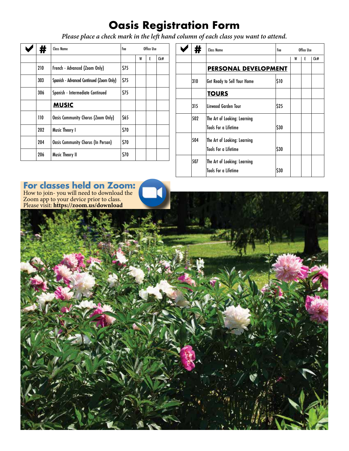# **Oasis Registration Form**

*Please place a check mark in the left hand column of each class you want to attend.*

| Ħ   | <b>Class Name</b>                        | Fee  |   | Office Use |     | #   | <b>Class Name</b>                                           | Fee  |   | Office Use |  |
|-----|------------------------------------------|------|---|------------|-----|-----|-------------------------------------------------------------|------|---|------------|--|
|     |                                          |      | W | E          | Ck# |     |                                                             |      | W | E          |  |
| 210 | French - Advanced (Zoom Only)            | \$75 |   |            |     |     | PERSONAL DEVELOPMENT                                        |      |   |            |  |
| 303 | Spanish - Advanced Continued (Zoom Only) | \$75 |   |            |     | 310 | <b>Get Ready to Sell Your Home</b>                          | \$10 |   |            |  |
| 306 | Spanish - Intermediate Continued         | \$75 |   |            |     |     | <b>TOURS</b>                                                |      |   |            |  |
|     | <b>MUSIC</b>                             |      |   |            |     | 315 | Linwood Garden Tour                                         | 525  |   |            |  |
| 110 | Oasis Community Chorus (Zoom Only)       | \$65 |   |            |     | 502 | The Art of Looking: Learning                                |      |   |            |  |
| 202 | <b>Music Theory I</b>                    | \$70 |   |            |     |     | <b>Tools For a Lifetime</b>                                 | S30  |   |            |  |
| 204 | Oasis Community Chorus (In Person)       | \$70 |   |            |     | 504 | The Art of Looking: Learning<br><b>Tools For a Lifetime</b> |      |   |            |  |
| 206 | <b>Music Theory II</b>                   | \$70 |   |            |     | 507 | The Art of Looking: Lograing                                | \$30 |   |            |  |

|   | Office Use |     |     | <b>Class Name</b>                  | Fee      |   | Office Use |     |
|---|------------|-----|-----|------------------------------------|----------|---|------------|-----|
| W | E          | Ck# |     |                                    |          | W | E          | Ck# |
|   |            |     |     | <b>PERSONAL DEVELOPMENT</b>        |          |   |            |     |
|   |            |     | 310 | <b>Get Ready to Sell Your Home</b> | \$10     |   |            |     |
|   |            |     |     | <b>TOURS</b>                       |          |   |            |     |
|   |            |     | 315 | Linwood Garden Tour                | 525      |   |            |     |
|   |            |     | 502 | The Art of Looking: Learning       |          |   |            |     |
|   |            |     |     | <b>Tools For a Lifetime</b>        | $ $ \$30 |   |            |     |
|   |            |     | 504 | The Art of Looking: Learning       |          |   |            |     |
|   |            |     |     | <b>Tools For a Lifetime</b>        | $ $ \$30 |   |            |     |
|   |            |     | 507 | The Art of Looking: Learning       |          |   |            |     |
|   |            |     |     | <b>Tools For a Lifetime</b>        | \$30     |   |            |     |
|   |            |     |     |                                    |          |   |            |     |

## **For classes held on Zoom:**

How to join- you will need to download the Zoom app to your device prior to class. Please visit: **https://zoom.us/download**